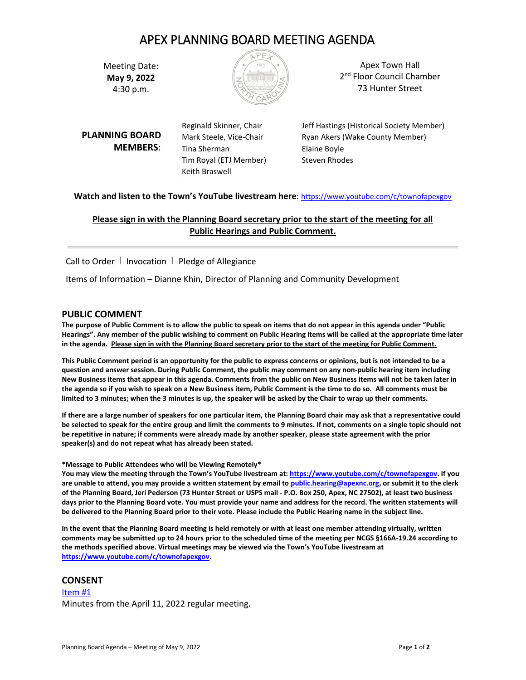# APEX PLANNING BOARD MEETING AGENDA

Meeting Date: **May 9, 2022**  4:30 p.m.



Apex Town Hall 2<sup>nd</sup> Floor Council Chamber 73 Hunter Street

**PLANNING BOARD MEMBERS**: Tina Sherman Elaine Boyle Tim Royal (ETJ Member) Steven Rhodes Keith Braswell

Reginald Skinner, Chair Jeff Hastings (Historical Society Member) Mark Steele, Vice-Chair Ryan Akers (Wake County Member)

# **Watch and listen to the Town's YouTube livestream here**: <https://www.youtube.com/c/townofapexgov>

# **Please sign in with the Planning Board secretary prior to the start of the meeting for all Public Hearings and Public Comment.**

Call to Order | Invocation | Pledge of Allegiance

Items of Information – Dianne Khin, Director of Planning and Community Development

# **PUBLIC COMMENT**

**The purpose of Public Comment is to allow the public to speak on items that do not appear in this agenda under "Public Hearings". Any member of the public wishing to comment on Public Hearing items will be called at the appropriate time later in the agenda. Please sign in with the Planning Board secretary prior to the start of the meeting for Public Comment.**

**This Public Comment period is an opportunity for the public to express concerns or opinions, but is not intended to be a question and answer session. During Public Comment, the public may comment on any non-public hearing item including New Business items that appear in this agenda. Comments from the public on New Business items will not be taken later in the agenda so if you wish to speak on a New Business item, Public Comment is the time to do so. All comments must be limited to 3 minutes; when the 3 minutes is up, the speaker will be asked by the Chair to wrap up their comments.** 

**If there are a large number of speakers for one particular item, the Planning Board chair may ask that a representative could be selected to speak for the entire group and limit the comments to 9 minutes. If not, comments on a single topic should not be repetitive in nature; if comments were already made by another speaker, please state agreement with the prior speaker(s) and do not repeat what has already been stated.**

#### **\*Message to Public Attendees who will be Viewing Remotely\***

**You may view the meeting through the Town's YouTube livestream at: [https://www.youtube.com/c/townofapexgov.](https://www.youtube.com/c/townofapexgov) If you are unable to attend, you may provide a written statement by email t[o public.hearing@apexnc.org,](mailto:public.hearing@apexnc.org) or submit it to the clerk of the Planning Board, Jeri Pederson (73 Hunter Street or USPS mail - P.O. Box 250, Apex, NC 27502), at least two business days prior to the Planning Board vote. You must provide your name and address for the record. The written statements will be delivered to the Planning Board prior to their vote. Please include the Public Hearing name in the subject line.**

**In the event that the Planning Board meeting is held remotely or with at least one member attending virtually, written comments may be submitted up to 24 hours prior to the scheduled time of the meeting per NCGS §166A-19.24 according to the methods specified above. Virtual meetings may be viewed via the Town's YouTube livestream at [https://www.youtube.com/c/townofapexgov.](https://www.youtube.com/c/townofapexgov)**

# **CONSENT**

[Item #1](https://www.apexnc.org/DocumentCenter/View/39422/4112022-Draft-PB-Minutes) Minutes from the April 11, 2022 regular meeting.